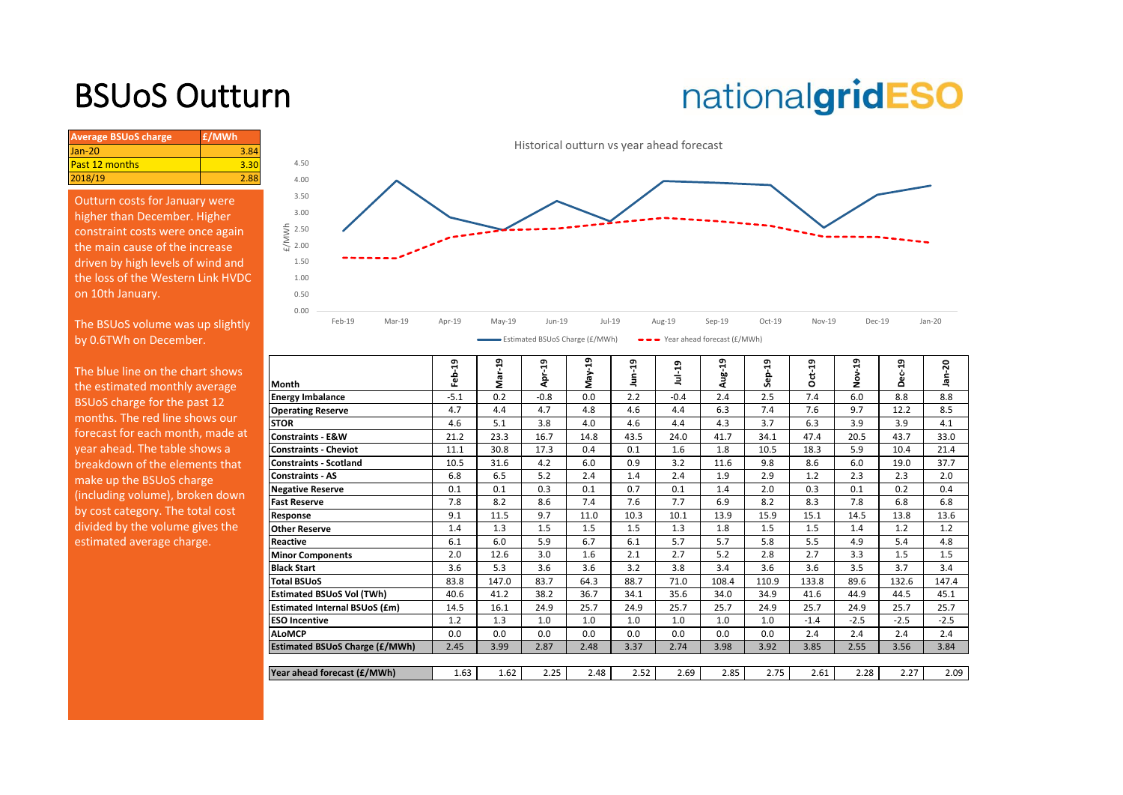## BSUoS Outturn

# nationalgridESO

| <b>Average BSUoS charge</b> | £/MWh |
|-----------------------------|-------|
| $Jan-20$                    | 3.84  |
| Past 12 months              |       |
| 2018/19                     | 2.88  |
|                             |       |

Outturn costs for January were higher than December. Higher constraint costs were once again the main cause of the increase driven by high levels of wind and the loss of the Western Link HVDC on 10th January.

The BSUoS volume was up slightly by 0.6TWh on December.

The blue line on the chart shows the estimated monthly average BSUoS charge for the past 12 months. The red line shows our forecast for each month, made at year ahead. The table shows a breakdown of the elements that make up the BSUoS charge (including volume), broken down by cost category. The total cost divided by the volume gives the estimated average charge.



**Month**<br>**Energy Imbalance Feb-19 Mar-19 Apr-19 May-19 Jun-19 Jul-19 Aug-19 Sep-19 Oct-19 Nov-19 Dec-19 Jan-20 Energy Imbalance** -5.1 0.2 -0.8 0.0 2.2 -0.4 2.4 2.5 7.4 6.0 8.8 8.8 **Operating Reserve 4.7** 4.7 4.8 4.6 4.4 6.3 7.4 7.6 9.7 12.2 8.5 **STOR** 4.6 5.1 3.8 4.0 4.6 4.4 4.3 3.7 6.3 3.9 3.9 4.1 **Constraints - E&W** 21.2 23.3 16.7 14.8 43.5 24.0 41.7 34.1 47.4 20.5 43.7 33.0 **Constraints - Cheviot** 11.1 30.8 17.3 0.4 0.1 1.6 1.8 10.5 18.3 5.9 10.4 21.4 **Constraints - Scotland** 10.5 31.6 4.2 6.0 0.9 3.2 11.6 9.8 8.6 6.0 19.0 37.7 **Constraints - AS** 6.8 6.5 5.2 2.4 1.4 2.4 1.9 2.9 1.2 2.3 2.3 2.0 **Negative Reserve** 0.1 0.1 0.3 0.1 0.7 0.1 1.4 2.0 0.3 0.1 0.2 0.4 **Fast Reserve** | 7.8 | 8.2 | 8.6 | 7.4 | 7.6 | 7.7 | 6.9 | 8.2 | 8.3 | 7.8 | 6.8 | 6.8 **Response** 9.1 11.5 9.7 11.0 10.3 10.1 13.9 15.9 15.1 14.5 13.8 13.6 **Other Reserve** 1.4 | 1.3 | 1.5 | 1.5 | 1.3 | 1.3 | 1.3 | 1.5 | 1.5 | 1.4 | 1.2 | 1.2 **Reactive** 6.1 6.0 5.9 6.7 6.1 5.7 5.7 5.8 5.5 4.9 5.4 4.8 **Minor Components** 2.0 12.6 3.0 1.6 2.1 2.7 5.2 2.8 2.7 3.3 1.5 1.5 **Black Start** 3.6 5.3 3.6 3.6 3.2 3.8 3.4 3.6 3.6 3.5 3.7 3.4 **Total BSUoS** 83.8 147.0 83.7 64.3 88.7 71.0 108.4 110.9 133.8 89.6 132.6 147.4 **Estimated BSUoS Vol (TWh)** 40.6 41.2 38.2 36.7 34.1 35.6 34.0 34.9 41.6 44.9 44.5 45.1 **Estimated Internal BSUoS (£m)** 14.5 16.1 24.9 25.7 24.9 25.7 25.7 24.9 25.7 24.9 25.7 25.7 **ESO Incentive** 1.2 | 1.3 | 1.0 | 1.0 | 1.0 | 1.0 | 1.0 | 1.0 | -1.4 | -2.5 | -2.5 | -2.5 w **ALoMCP** 0.0 0.0 0.0 0.0 0.0 0.0 0.0 0.0 2.4 2.4 2.4 2.4 **Estimated BSUoS Charge (£/MWh)** 2.45 3.99 2.87 2.48 3.37 2.74 3.98 3.92 3.85 2.55 3.56 3.84 **Year ahead forecast (£/MWh)** 1.63 1.62 2.25 2.48 2.52 2.69 2.85 2.75 2.61 2.28 2.27 2.09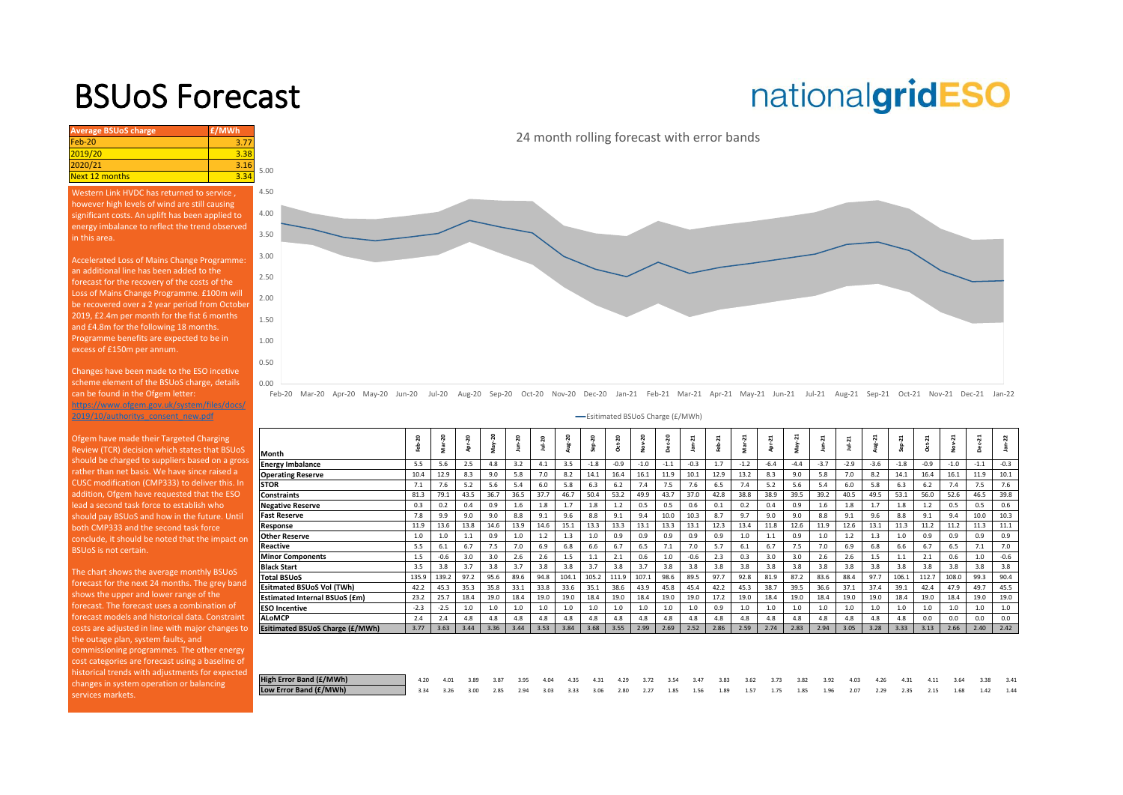### BSUoS Forecast

## nationalgridESO

**Average BSUoS charge £/MWh £/MWh** Feb-20 3.77 2019/20 3.38<br>2020/21 3.46 2020/21 3.16<br>Next 12 months 3.34 Next 12 months 1.50 2.00 2.50 3.00 4.50 5.00 Western Link HVDC has returned to service , however high levels of wind are still causing significant costs. An uplift has been applied to energy imbalance to reflect the trend observed in this area. Accelerated Loss of Mains Change Programme: an additional line has been added to the forecast for the recovery of the costs of the Loss of Mains Change Programme. £100m will be recovered over a 2 year period from October 2019, £2.4m per month for the fist 6 months and £4.8m for the following 18 months. Programme benefits are expected to be in

Changes have been made to the ESO incetive scheme element of the BSUoS charge, details can be found in the Ofgem letter: https://www.ofgem.gov.uk/system/files/docs/ 2019/10/authoritys\_consent\_new.pdf

excess of £150m per annum.

Ofgem have made their Targeted Charging Review (TCR) decision which states that BSUoS [should be charged to suppliers based on a gross](https://www.nationalgrideso.com/charging/balancing-services-use-system-bsuos-charges)  rather than net basis. We have since raised a CUSC modification (CMP333) to deliver this. In addition, Ofgem have requested that the ESO lead a second task force to establish who should pay BSUoS and how in the future. Until both CMP333 and the second task force conclude, it should be noted that the impact on BSUoS is not certain.

The chart shows the average monthly BSUoS forecast for the next 24 months. The grey band shows the upper and lower range of the forecast. The forecast uses a combination of forecast models and historical data. Constraint costs are adjusted in line with major changes to  $\Box$ the outage plan, system faults, and commissioning programmes. The other energy cost categories are forecast using a baseline of historical trends with adjustments for expected changes in system operation or balancing services markets.

24 month rolling forecast with error bands



Feb-20 Mar-20 Apr-20 May-20 Jun-20 Jul-20 Aug-20 Sep-20 Oct-20 Nov-20 Dec-20 Jan-21 Feb-21 Mar-21 Apr-21 May-21 Jun-21 Jul-21 Aug-21 Sep-21 Oct-21 Nov-21 Dec-21 Jan-22

Esitimated BSUoS Charge (£/MWh)

|                                  | 50<br>훎 | ន<br>Mar- | ន    | 50<br>눎 | $n-20$<br>Е | $Jul-20$ | Aug-20 | $p-20$ | $Oct-20$ | Nov-20 | ន<br>ec- | $n - 21$<br>으 | Feb-21 | $ar - 21$<br>s | Apr-21 | ដ<br>Ť | $\overline{a}$<br>ģ | ź,     | Aug-21 | $\overline{a}$<br>Sep- | Oct-21 | Nov-21 | ដ<br>ğ | $n-22$<br>흑 |
|----------------------------------|---------|-----------|------|---------|-------------|----------|--------|--------|----------|--------|----------|---------------|--------|----------------|--------|--------|---------------------|--------|--------|------------------------|--------|--------|--------|-------------|
| Month                            |         |           |      |         |             |          |        |        |          |        |          |               |        |                |        |        |                     |        |        |                        |        |        |        |             |
| <b>Energy Imbalance</b>          | 5.5     | 5.6       | 2.5  | 4.8     | 3.2         | 4.1      | 3.5    | $-1.8$ | $-0.9$   | $-1.0$ | $-1.1$   | $-0.3$        | 1.7    | $-1.2$         | $-6.4$ | $-4.4$ | $-3.7$              | $-2.9$ | $-3.6$ | $-1.8$                 | $-0.9$ | $-1.0$ | $-1.1$ | $-0.3$      |
| <b>Operating Reserve</b>         | 10.4    | 12.9      | 8.3  | 9.0     | 5.8         | 7.0      | 8.2    | 14.1   | 16.4     | 16.1   | 11.9     | 10.1          | 12.9   | 13.2           | 8.3    | 9.0    | 5.8                 | 7.0    | 8.2    | 14.1                   | 16.4   | 16.1   | 11.9   | 10.1        |
| STOR                             | 7.1     | 7.6       | 5.2  | 5.6     | 5.4         | 6.0      | 5.8    | 6.3    | 6.2      | 7.4    | 7.5      | 7.6           | 6.5    | 7.4            | 5.2    | 5.6    | 5.4                 | 6.0    | 5.8    | 6.3                    | 6.2    | 7.4    | 7.5    | 7.6         |
| <b>Constraints</b>               | 81.3    | 79.1      | 43.5 | 36.7    | 36.5        | 37.7     | 46.7   | 50.4   | 53.2     | 49.9   | 43.7     | 37.0          | 42.8   | 38.8           | 38.9   | 39.5   | 39.2                | 40.5   | 49.5   | 53.1                   | 56.0   | 52.6   | 46.5   | 39.8        |
| <b>Negative Reserve</b>          | 0.3     | 0.2       | 0.4  | 0.9     | 1.6         | 1.8      | 1.7    | 1.8    | 1.2      | 0.5    | 0.5      | 0.6           | 0.1    | 0.2            | 0.4    | 0.9    | 1.6                 | 1.8    | 1.7    | 1.8                    | 1.2    | 0.5    | 0.5    | 0.6         |
| Fast Reserve                     | 7.8     | 9.9       | 9.0  | 9.0     | 8.8         | 9.1      | 9.6    | 8.8    | 9.1      | 9.4    | 10.0     | 10.3          | 8.7    | 9.7            | 9.0    | 9.0    | 8.8                 | 9.1    | 9.6    | 8.8                    | 9.1    | 9.4    | 10.0   | 10.3        |
| Response                         | 11.9    | 13.6      | 13.8 | 14.6    | 13.9        | 14.6     | 15.1   | 13.3   | 13.3     | 13.1   | 13.3     | 13.1          | 12.3   | 13.4           | 11.8   | 12.6   | 11.9                | 12.6   | 13.1   | 11.3                   | 11.2   | 11.2   | 11.3   | 11.1        |
| <b>Other Reserve</b>             | 1.0     | 1.0       | 1.1  | 0.9     | 1.0         | 1.2      | 1.3    | 1.0    | 0.9      | 0.9    | 0.9      | 0.9           | 0.9    | 1.0            | 1.1    | 0.9    | 1.0                 | 1.2    | 1.3    | 1.0                    | 0.9    | 0.9    | 0.9    | 0.9         |
| Reactive                         | 5.5     | 6.1       | 6.7  | 7.5     | 7.0         | 6.9      | 6.8    | 6.6    | 6.7      | 6.5    | 7.1      | 7.0           | 5.7    | 6.1            | 6.7    | 7.5    | 7.0                 | 6.9    | 6.8    | 6.6                    | 6.7    | 6.5    | 7.1    | 7.0         |
| <b>Minor Components</b>          | 1.5     | $-0.6$    | 3.0  | 3.0     | 2.6         | 2.6      | 1.5    | 1.1    | 2.1      | 0.6    | $1.0$    | $-0.6$        | 2.3    | 0.3            | 3.0    | 3.0    | 2.6                 | 2.6    | 1.5    | 1.1                    | 2.1    | 0.6    | 1.0    | $-0.6$      |
| <b>Black Start</b>               | 3.5     | 3.8       | 3.7  | 3.8     | 3.7         | 3.8      | 3.8    | 3.7    | 3.8      | 3.7    | 3.8      | 3.8           | 3.8    | 3.8            | 3.8    | 3.8    | 3.8                 | 3.8    | 3.8    | 3.8                    | 3.8    | 3.8    | 3.8    | 3.8         |
| <b>Total BSUoS</b>               | 135.9   | 139.2     | 97.2 | 95.6    | 89.6        | 94.8     | 104.1  | 105.2  | 111.9    | 107.1  | 98.6     | 89.5          | 97.7   | 92.8           | 81.9   | 87.2   | 83.6                | 88.4   | 97.7   | 106.1                  | 112.7  | 108.0  | 99.3   | 90.4        |
| <b>Esitmated BSUoS Vol (TWh)</b> | 42.2    | 45.3      | 35.3 | 35.8    | 33.1        | 33.8     | 33.6   | 35.1   | 38.6     | 43.9   | 45.8     | 45.4          | 42.2   | 45.3           | 38.7   | 39.5   | 36.6                | 37.1   | 37.4   | 39.1                   | 42.4   | 47.9   | 49.7   | 45.5        |
| Estimated Internal BSUoS (£m)    | 23.2    | 25.7      | 18.4 | 19.0    | 18.4        | 19.0     | 19.0   | 18.4   | 19.0     | 18.4   | 19.0     | 19.0          | 17.2   | 19.0           | 18.4   | 19.0   | 18.4                | 19.0   | 19.0   | 18.4                   | 19.0   | 18.4   | 19.0   | 19.0        |
| <b>ESO Incentive</b>             | $-2.3$  | $-2.5$    | 1.0  | 1.0     | 1.0         | 1.0      | 1.0    | 1.0    | 1.0      | 1.0    | $1.0$    | 1.0           | 0.9    | 1.0            | $1.0$  | 1.0    | 1.0                 | 1.0    | 1.0    | 1.0                    | 1.0    | 1.0    | 1.0    | $1.0$       |
| <b>ALoMCP</b>                    | 2.4     | 2.4       | 4.8  | 4.8     | 4.8         | 4.8      | 4.8    | 4.8    | 4.8      | 4.8    | 4.8      | 4.8           | 4.8    | 4.8            | 4.8    | 4.8    | 4.8                 | 4.8    | 4.8    | 4.8                    | 0.0    | 0.0    | 0.0    | 0.0         |
| Esitimated BSUoS Charge (£/MWh)  | 3.77    | 3.63      | 3.44 | 3.36    | 3.44        | 3.53     | 3.84   | 3.68   | 3.55     | 2.99   | 2.69     | 2.52          | 2.86   | 2.59           | 2.74   | 2.83   | 2.94                | 3.05   | 3.28   | 3.33                   | 3.13   | 2.66   | 2.40   | 2.42        |
|                                  |         |           |      |         |             |          |        |        |          |        |          |               |        |                |        |        |                     |        |        |                        |        |        |        |             |
|                                  |         |           |      |         |             |          |        |        |          |        |          |               |        |                |        |        |                     |        |        |                        |        |        |        |             |
|                                  |         |           |      |         |             |          |        |        |          |        |          |               |        |                |        |        |                     |        |        |                        |        |        |        |             |

| High Error Band (£/MWh) | 4.20 | 4.01 | 3.89 | 3.87 | 3.95 | 4.04 | 4.35 | 4.31 4.29           | 3.72 | 3.54 3.47 |                     | 3.83 | 3.62 | 3.73 | 3.82 3.92 | 4.03 | 4.26 | 4.31      | 4.11 | 3.64 | 3.38 | 3.41 |
|-------------------------|------|------|------|------|------|------|------|---------------------|------|-----------|---------------------|------|------|------|-----------|------|------|-----------|------|------|------|------|
| Low Error Band (£/MWh)  | 3.34 | 3.26 | 3.00 | 2.85 | 2.94 | 3.03 |      | 3.33 3.06 2.80 2.27 |      |           | 1.85 1.56 1.89 1.57 |      |      | 1.75 | 1.85 1.96 | 2.07 | 2.29 | 2.35 2.15 |      | 1.68 | 142  | 1.44 |